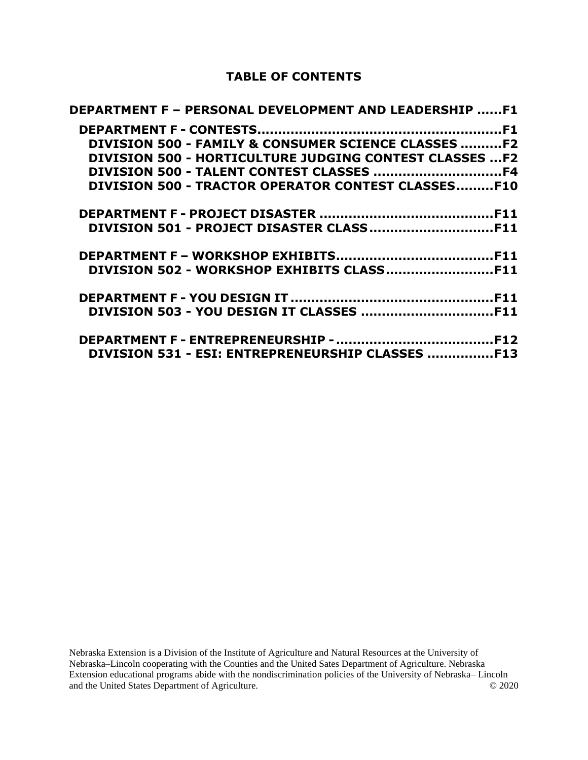#### **TABLE OF CONTENTS**

| <b>DEPARTMENT F - PERSONAL DEVELOPMENT AND LEADERSHIP F1</b> |  |
|--------------------------------------------------------------|--|
|                                                              |  |
| DIVISION 500 - FAMILY & CONSUMER SCIENCE CLASSES F2          |  |
| DIVISION 500 - HORTICULTURE JUDGING CONTEST CLASSES F2       |  |
|                                                              |  |
| <b>DIVISION 500 - TRACTOR OPERATOR CONTEST CLASSESF10</b>    |  |
|                                                              |  |
|                                                              |  |
|                                                              |  |
|                                                              |  |
| <b>DIVISION 502 - WORKSHOP EXHIBITS CLASSF11</b>             |  |
|                                                              |  |
|                                                              |  |
|                                                              |  |
|                                                              |  |
| DIVISION 531 - ESI: ENTREPRENEURSHIP CLASSES F13             |  |
|                                                              |  |

Nebraska Extension is a Division of the Institute of Agriculture and Natural Resources at the University of Nebraska–Lincoln cooperating with the Counties and the United Sates Department of Agriculture. Nebraska Extension educational programs abide with the nondiscrimination policies of the University of Nebraska– Lincoln and the United States Department of Agriculture. © 2020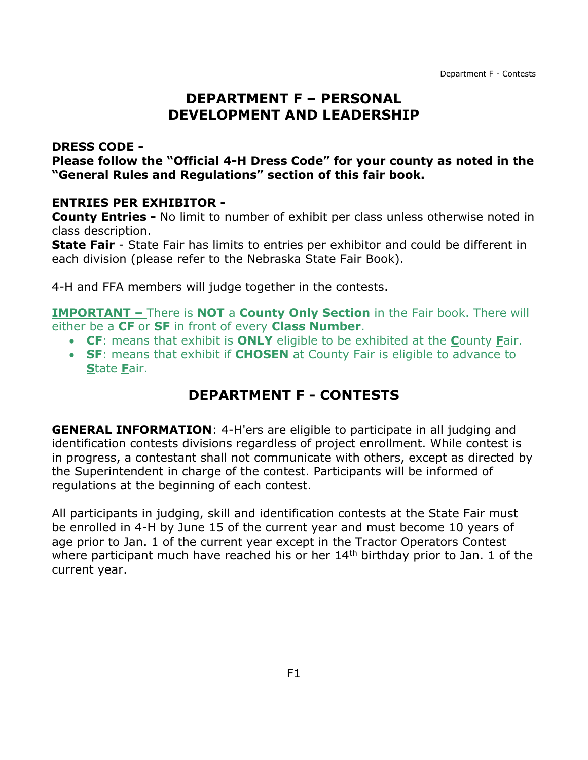# **DEPARTMENT F – PERSONAL DEVELOPMENT AND LEADERSHIP**

#### <span id="page-1-0"></span>**DRESS CODE -**

**Please follow the "Official 4-H Dress Code" for your county as noted in the "General Rules and Regulations" section of this fair book.**

#### **ENTRIES PER EXHIBITOR -**

**County Entries -** No limit to number of exhibit per class unless otherwise noted in class description.

**State Fair** - State Fair has limits to entries per exhibitor and could be different in each division (please refer to the Nebraska State Fair Book).

4-H and FFA members will judge together in the contests.

**IMPORTANT –** There is **NOT** a **County Only Section** in the Fair book. There will either be a **CF** or **SF** in front of every **Class Number**.

- **CF**: means that exhibit is **ONLY** eligible to be exhibited at the **C**ounty **F**air.
- <span id="page-1-1"></span>• **SF**: means that exhibit if **CHOSEN** at County Fair is eligible to advance to **S**tate **F**air.

# **DEPARTMENT F - CONTESTS**

**GENERAL INFORMATION**: 4-H'ers are eligible to participate in all judging and identification contests divisions regardless of project enrollment. While contest is in progress, a contestant shall not communicate with others, except as directed by the Superintendent in charge of the contest. Participants will be informed of regulations at the beginning of each contest.

All participants in judging, skill and identification contests at the State Fair must be enrolled in 4-H by June 15 of the current year and must become 10 years of age prior to Jan. 1 of the current year except in the Tractor Operators Contest where participant much have reached his or her 14<sup>th</sup> birthday prior to Jan. 1 of the current year.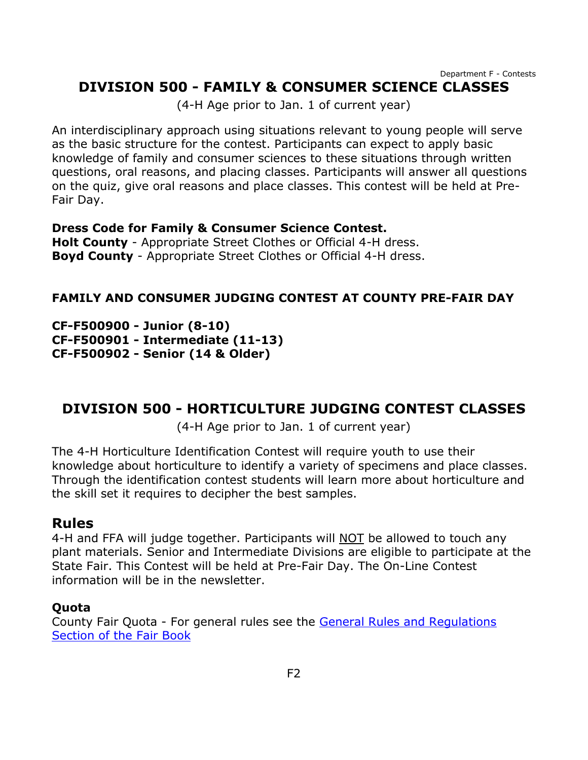#### <span id="page-2-0"></span>**DIVISION 500 - FAMILY & CONSUMER SCIENCE CLASSES**

(4-H Age prior to Jan. 1 of current year)

An interdisciplinary approach using situations relevant to young people will serve as the basic structure for the contest. Participants can expect to apply basic knowledge of family and consumer sciences to these situations through written questions, oral reasons, and placing classes. Participants will answer all questions on the quiz, give oral reasons and place classes. This contest will be held at Pre-Fair Day.

#### **Dress Code for Family & Consumer Science Contest.**

**Holt County** - Appropriate Street Clothes or Official 4-H dress. **Boyd County** - Appropriate Street Clothes or Official 4-H dress.

#### **FAMILY AND CONSUMER JUDGING CONTEST AT COUNTY PRE-FAIR DAY**

**CF-F500900 - Junior (8-10) CF-F500901 - Intermediate (11-13) CF-F500902 - Senior (14 & Older)**

### <span id="page-2-1"></span>**DIVISION 500 - HORTICULTURE JUDGING CONTEST CLASSES**

(4-H Age prior to Jan. 1 of current year)

The 4-H Horticulture Identification Contest will require youth to use their knowledge about horticulture to identify a variety of specimens and place classes. Through the identification contest students will learn more about horticulture and the skill set it requires to decipher the best samples.

#### **Rules**

4-H and FFA will judge together. Participants will NOT be allowed to touch any plant materials. Senior and Intermediate Divisions are eligible to participate at the State Fair. This Contest will be held at Pre-Fair Day. The On-Line Contest information will be in the newsletter.

#### **Quota**

County Fair Quota - For general rules see the [General Rules and Regulations](https://unl.box.com/s/e7w1cmzwit0us89x96k1h2gdrs51dsy2)  [Section of the Fair Book](https://unl.box.com/s/e7w1cmzwit0us89x96k1h2gdrs51dsy2)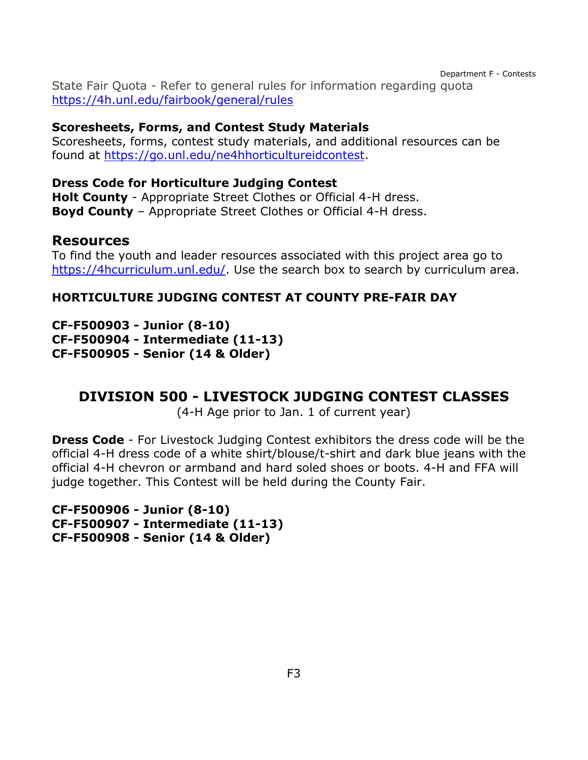Department F - Contests State Fair Quota - Refer to general rules for information regarding quota <https://4h.unl.edu/fairbook/general/rules>

#### **Scoresheets, Forms, and Contest Study Materials**

Scoresheets, forms, contest study materials, and additional resources can be found at [https://go.unl.edu/ne4hhorticultureidcontest.](http://go.unl.edu/ne4hhorticultureidcontest)

#### **Dress Code for Horticulture Judging Contest**

**Holt County** - Appropriate Street Clothes or Official 4-H dress. **Boyd County** – Appropriate Street Clothes or Official 4-H dress.

#### **Resources**

To find the youth and leader resources associated with this project area go to [https://4hcurriculum.unl.edu/.](https://4hcurriculum.unl.edu/) Use the search box to search by curriculum area.

#### **HORTICULTURE JUDGING CONTEST AT COUNTY PRE-FAIR DAY**

**CF-F500903 - Junior (8-10) CF-F500904 - Intermediate (11-13) CF-F500905 - Senior (14 & Older)**

### **DIVISION 500 - LIVESTOCK JUDGING CONTEST CLASSES**

(4-H Age prior to Jan. 1 of current year)

**Dress Code** - For Livestock Judging Contest exhibitors the dress code will be the official 4-H dress code of a white shirt/blouse/t-shirt and dark blue jeans with the official 4-H chevron or armband and hard soled shoes or boots. 4-H and FFA will judge together. This Contest will be held during the County Fair.

**CF-F500906 - Junior (8-10) CF-F500907 - Intermediate (11-13) CF-F500908 - Senior (14 & Older)**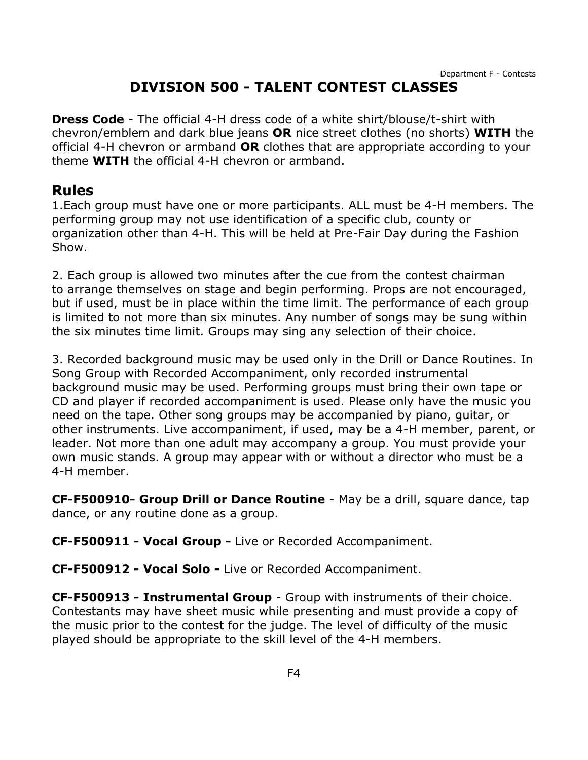# **DIVISION 500 - TALENT CONTEST CLASSES**

<span id="page-4-0"></span>**Dress Code** - The official 4-H dress code of a white shirt/blouse/t-shirt with chevron/emblem and dark blue jeans **OR** nice street clothes (no shorts) **WITH** the official 4-H chevron or armband **OR** clothes that are appropriate according to your theme **WITH** the official 4-H chevron or armband.

### **Rules**

1.Each group must have one or more participants. ALL must be 4-H members. The performing group may not use identification of a specific club, county or organization other than 4-H. This will be held at Pre-Fair Day during the Fashion Show.

2. Each group is allowed two minutes after the cue from the contest chairman to arrange themselves on stage and begin performing. Props are not encouraged, but if used, must be in place within the time limit. The performance of each group is limited to not more than six minutes. Any number of songs may be sung within the six minutes time limit. Groups may sing any selection of their choice.

3. Recorded background music may be used only in the Drill or Dance Routines. In Song Group with Recorded Accompaniment, only recorded instrumental background music may be used. Performing groups must bring their own tape or CD and player if recorded accompaniment is used. Please only have the music you need on the tape. Other song groups may be accompanied by piano, guitar, or other instruments. Live accompaniment, if used, may be a 4-H member, parent, or leader. Not more than one adult may accompany a group. You must provide your own music stands. A group may appear with or without a director who must be a 4-H member.

**CF-F500910- Group Drill or Dance Routine** - May be a drill, square dance, tap dance, or any routine done as a group.

**CF-F500911 - Vocal Group -** Live or Recorded Accompaniment.

**CF-F500912 - Vocal Solo -** Live or Recorded Accompaniment.

**CF-F500913 - Instrumental Group** - Group with instruments of their choice. Contestants may have sheet music while presenting and must provide a copy of the music prior to the contest for the judge. The level of difficulty of the music played should be appropriate to the skill level of the 4-H members.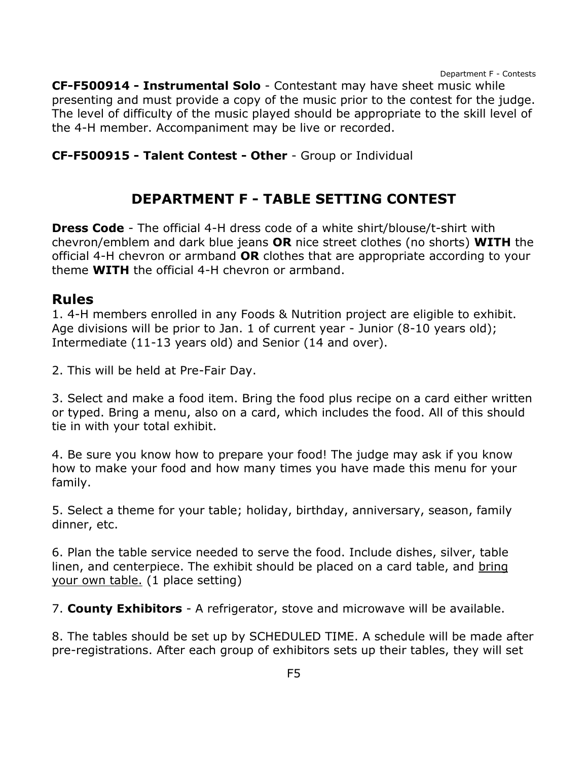**CF-F500914 - Instrumental Solo** - Contestant may have sheet music while presenting and must provide a copy of the music prior to the contest for the judge. The level of difficulty of the music played should be appropriate to the skill level of the 4-H member. Accompaniment may be live or recorded.

#### **CF-F500915 - Talent Contest - Other** - Group or Individual

# **DEPARTMENT F - TABLE SETTING CONTEST**

**Dress Code** - The official 4-H dress code of a white shirt/blouse/t-shirt with chevron/emblem and dark blue jeans **OR** nice street clothes (no shorts) **WITH** the official 4-H chevron or armband **OR** clothes that are appropriate according to your theme **WITH** the official 4-H chevron or armband.

### **Rules**

1. 4-H members enrolled in any Foods & Nutrition project are eligible to exhibit. Age divisions will be prior to Jan. 1 of current year - Junior (8-10 years old); Intermediate (11-13 years old) and Senior (14 and over).

2. This will be held at Pre-Fair Day.

3. Select and make a food item. Bring the food plus recipe on a card either written or typed. Bring a menu, also on a card, which includes the food. All of this should tie in with your total exhibit.

4. Be sure you know how to prepare your food! The judge may ask if you know how to make your food and how many times you have made this menu for your family.

5. Select a theme for your table; holiday, birthday, anniversary, season, family dinner, etc.

6. Plan the table service needed to serve the food. Include dishes, silver, table linen, and centerpiece. The exhibit should be placed on a card table, and bring your own table. (1 place setting)

7. **County Exhibitors** - A refrigerator, stove and microwave will be available.

8. The tables should be set up by SCHEDULED TIME. A schedule will be made after pre-registrations. After each group of exhibitors sets up their tables, they will set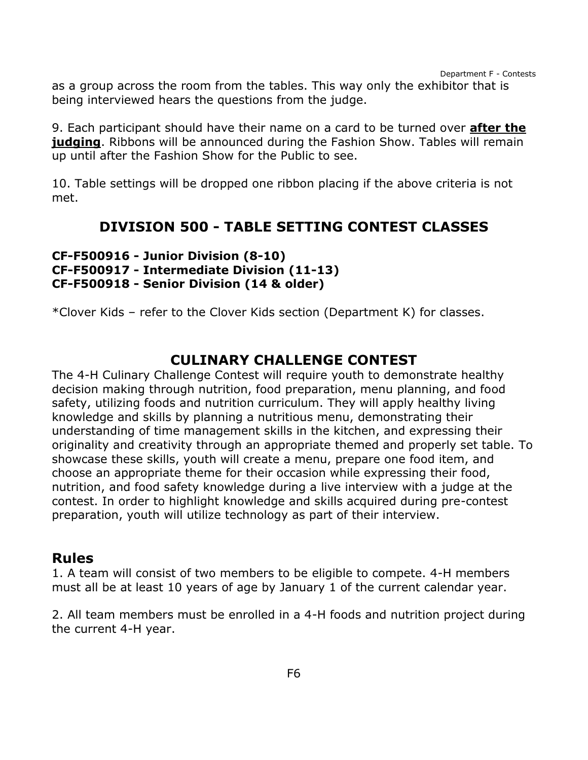as a group across the room from the tables. This way only the exhibitor that is being interviewed hears the questions from the judge.

9. Each participant should have their name on a card to be turned over **after the judging**. Ribbons will be announced during the Fashion Show. Tables will remain up until after the Fashion Show for the Public to see.

10. Table settings will be dropped one ribbon placing if the above criteria is not met.

## **DIVISION 500 - TABLE SETTING CONTEST CLASSES**

**CF-F500916 - Junior Division (8-10) CF-F500917 - Intermediate Division (11-13) CF-F500918 - Senior Division (14 & older)**

\*Clover Kids – refer to the Clover Kids section (Department K) for classes.

## **CULINARY CHALLENGE CONTEST**

The 4-H Culinary Challenge Contest will require youth to demonstrate healthy decision making through nutrition, food preparation, menu planning, and food safety, utilizing foods and nutrition curriculum. They will apply healthy living knowledge and skills by planning a nutritious menu, demonstrating their understanding of time management skills in the kitchen, and expressing their originality and creativity through an appropriate themed and properly set table. To showcase these skills, youth will create a menu, prepare one food item, and choose an appropriate theme for their occasion while expressing their food, nutrition, and food safety knowledge during a live interview with a judge at the contest. In order to highlight knowledge and skills acquired during pre-contest preparation, youth will utilize technology as part of their interview.

### **Rules**

1. A team will consist of two members to be eligible to compete. 4-H members must all be at least 10 years of age by January 1 of the current calendar year.

2. All team members must be enrolled in a 4-H foods and nutrition project during the current 4-H year.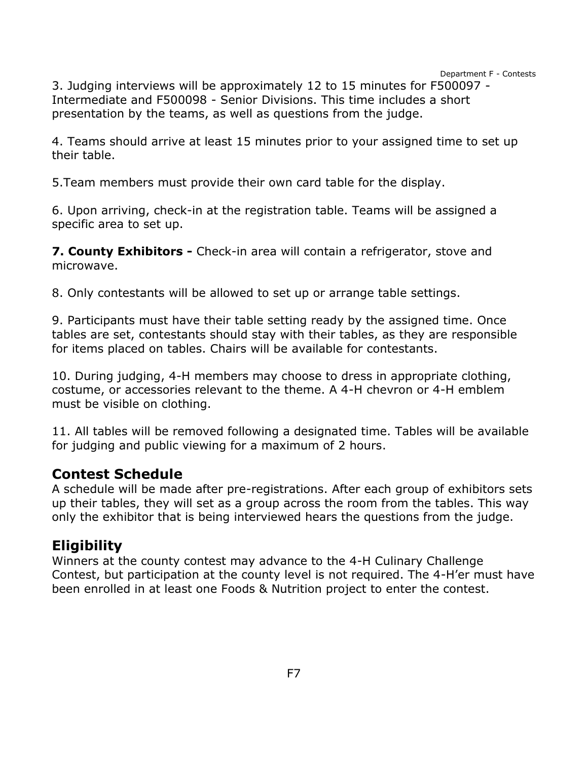3. Judging interviews will be approximately 12 to 15 minutes for F500097 - Intermediate and F500098 - Senior Divisions. This time includes a short presentation by the teams, as well as questions from the judge.

4. Teams should arrive at least 15 minutes prior to your assigned time to set up their table.

5.Team members must provide their own card table for the display.

6. Upon arriving, check-in at the registration table. Teams will be assigned a specific area to set up.

**7. County Exhibitors -** Check-in area will contain a refrigerator, stove and microwave.

8. Only contestants will be allowed to set up or arrange table settings.

9. Participants must have their table setting ready by the assigned time. Once tables are set, contestants should stay with their tables, as they are responsible for items placed on tables. Chairs will be available for contestants.

10. During judging, 4-H members may choose to dress in appropriate clothing, costume, or accessories relevant to the theme. A 4-H chevron or 4-H emblem must be visible on clothing.

11. All tables will be removed following a designated time. Tables will be available for judging and public viewing for a maximum of 2 hours.

## **Contest Schedule**

A schedule will be made after pre-registrations. After each group of exhibitors sets up their tables, they will set as a group across the room from the tables. This way only the exhibitor that is being interviewed hears the questions from the judge.

# **Eligibility**

Winners at the county contest may advance to the 4-H Culinary Challenge Contest, but participation at the county level is not required. The 4-H'er must have been enrolled in at least one Foods & Nutrition project to enter the contest.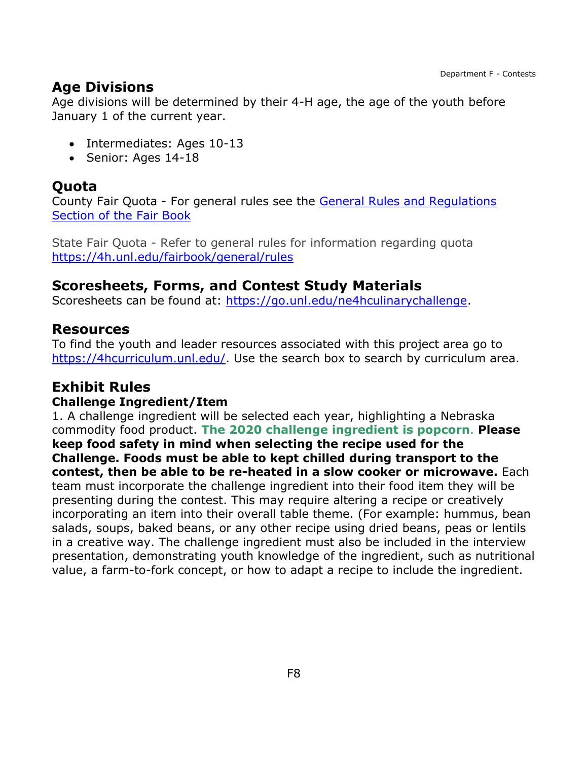### **Age Divisions**

Age divisions will be determined by their 4-H age, the age of the youth before January 1 of the current year.

- Intermediates: Ages 10-13
- Senior: Ages 14-18

# **Quota**

County Fair Quota - For general rules see the [General Rules and Regulations](https://unl.box.com/s/e7w1cmzwit0us89x96k1h2gdrs51dsy2)  [Section of the Fair Book](https://unl.box.com/s/e7w1cmzwit0us89x96k1h2gdrs51dsy2)

State Fair Quota - Refer to general rules for information regarding quota <https://4h.unl.edu/fairbook/general/rules>

### **Scoresheets, Forms, and Contest Study Materials**

Scoresheets can be found at: [https://go.unl.edu/ne4hculinarychallenge.](https://go.unl.edu/ne4hculinarychallenge)

### **Resources**

To find the youth and leader resources associated with this project area go to [https://4hcurriculum.unl.edu/.](https://4hcurriculum.unl.edu/) Use the search box to search by curriculum area.

## **Exhibit Rules**

#### **Challenge Ingredient/Item**

1. A challenge ingredient will be selected each year, highlighting a Nebraska commodity food product. **The 2020 challenge ingredient is popcorn**. **Please keep food safety in mind when selecting the recipe used for the Challenge. Foods must be able to kept chilled during transport to the contest, then be able to be re-heated in a slow cooker or microwave.** Each team must incorporate the challenge ingredient into their food item they will be presenting during the contest. This may require altering a recipe or creatively incorporating an item into their overall table theme. (For example: hummus, bean salads, soups, baked beans, or any other recipe using dried beans, peas or lentils in a creative way. The challenge ingredient must also be included in the interview presentation, demonstrating youth knowledge of the ingredient, such as nutritional value, a farm-to-fork concept, or how to adapt a recipe to include the ingredient.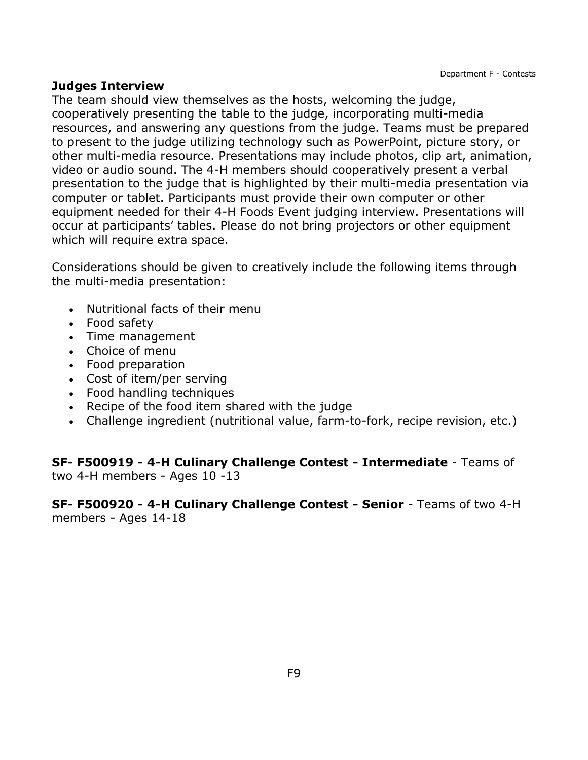#### **Judges Interview**

The team should view themselves as the hosts, welcoming the judge, cooperatively presenting the table to the judge, incorporating multi-media resources, and answering any questions from the judge. Teams must be prepared to present to the judge utilizing technology such as PowerPoint, picture story, or other multi-media resource. Presentations may include photos, clip art, animation, video or audio sound. The 4-H members should cooperatively present a verbal presentation to the judge that is highlighted by their multi-media presentation via computer or tablet. Participants must provide their own computer or other equipment needed for their 4-H Foods Event judging interview. Presentations will occur at participants' tables. Please do not bring projectors or other equipment which will require extra space.

Considerations should be given to creatively include the following items through the multi-media presentation:

- Nutritional facts of their menu
- Food safety
- Time management
- Choice of menu
- Food preparation
- Cost of item/per serving
- Food handling techniques
- Recipe of the food item shared with the judge
- Challenge ingredient (nutritional value, farm-to-fork, recipe revision, etc.)

**SF- F500919 - 4-H Culinary Challenge Contest - Intermediate** - Teams of two 4-H members - Ages 10 -13

**SF- F500920 - 4-H Culinary Challenge Contest - Senior** - Teams of two 4-H members - Ages 14-18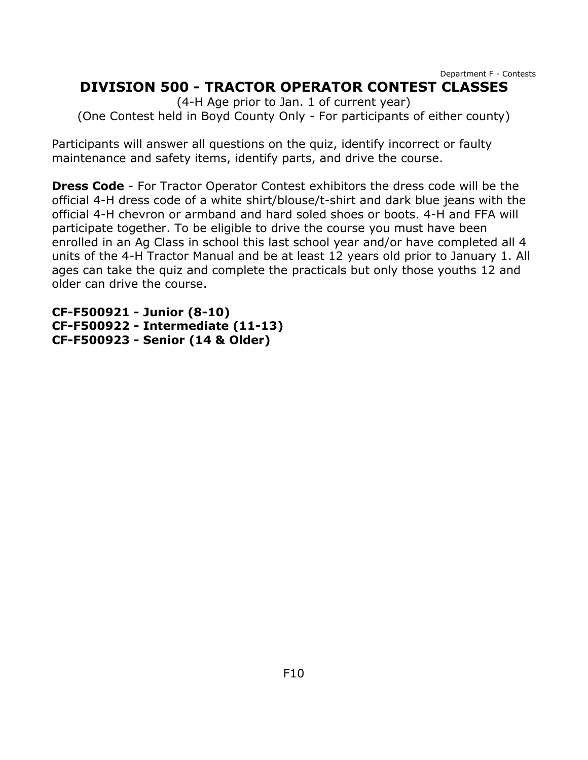## <span id="page-10-0"></span>**DIVISION 500 - TRACTOR OPERATOR CONTEST CLASSES**

(4-H Age prior to Jan. 1 of current year) (One Contest held in Boyd County Only - For participants of either county)

Participants will answer all questions on the quiz, identify incorrect or faulty maintenance and safety items, identify parts, and drive the course.

**Dress Code** - For Tractor Operator Contest exhibitors the dress code will be the official 4-H dress code of a white shirt/blouse/t-shirt and dark blue jeans with the official 4-H chevron or armband and hard soled shoes or boots. 4-H and FFA will participate together. To be eligible to drive the course you must have been enrolled in an Ag Class in school this last school year and/or have completed all 4 units of the 4-H Tractor Manual and be at least 12 years old prior to January 1. All ages can take the quiz and complete the practicals but only those youths 12 and older can drive the course.

**CF-F500921 - Junior (8-10) CF-F500922 - Intermediate (11-13) CF-F500923 - Senior (14 & Older)**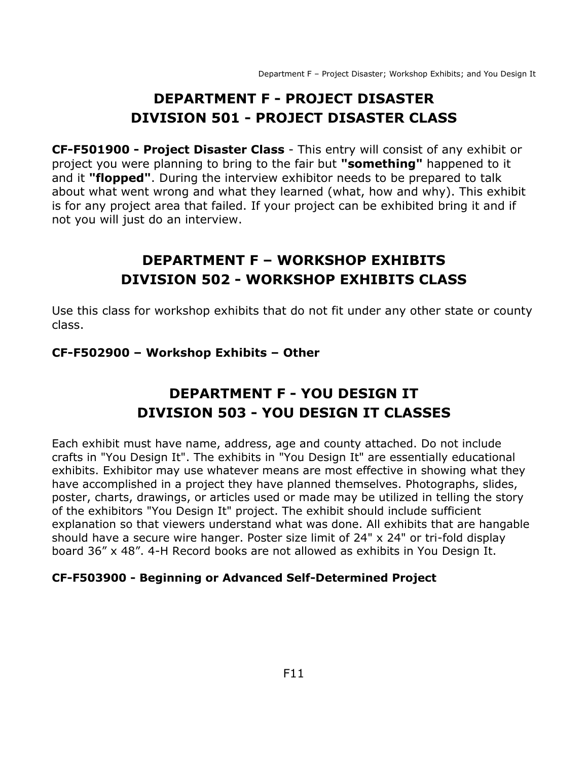# **DEPARTMENT F - PROJECT DISASTER DIVISION 501 - PROJECT DISASTER CLASS**

<span id="page-11-1"></span><span id="page-11-0"></span>**CF-F501900 - Project Disaster Class** - This entry will consist of any exhibit or project you were planning to bring to the fair but **"something"** happened to it and it **"flopped"**. During the interview exhibitor needs to be prepared to talk about what went wrong and what they learned (what, how and why). This exhibit is for any project area that failed. If your project can be exhibited bring it and if not you will just do an interview.

# **DEPARTMENT F – WORKSHOP EXHIBITS DIVISION 502 - WORKSHOP EXHIBITS CLASS**

<span id="page-11-3"></span><span id="page-11-2"></span>Use this class for workshop exhibits that do not fit under any other state or county class.

#### <span id="page-11-4"></span>**CF-F502900 – Workshop Exhibits – Other**

# **DEPARTMENT F - YOU DESIGN IT DIVISION 503 - YOU DESIGN IT CLASSES**

<span id="page-11-5"></span>Each exhibit must have name, address, age and county attached. Do not include crafts in "You Design It". The exhibits in "You Design It" are essentially educational exhibits. Exhibitor may use whatever means are most effective in showing what they have accomplished in a project they have planned themselves. Photographs, slides, poster, charts, drawings, or articles used or made may be utilized in telling the story of the exhibitors "You Design It" project. The exhibit should include sufficient explanation so that viewers understand what was done. All exhibits that are hangable should have a secure wire hanger. Poster size limit of 24" x 24" or tri-fold display board 36" x 48". 4-H Record books are not allowed as exhibits in You Design It.

#### **CF-F503900 - Beginning or Advanced Self-Determined Project**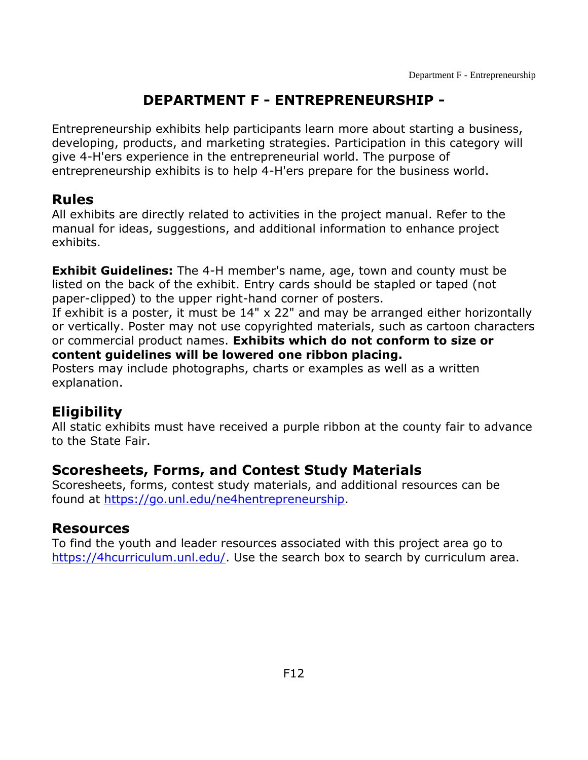# **DEPARTMENT F - ENTREPRENEURSHIP -**

<span id="page-12-0"></span>Entrepreneurship exhibits help participants learn more about starting a business, developing, products, and marketing strategies. Participation in this category will give 4-H'ers experience in the entrepreneurial world. The purpose of entrepreneurship exhibits is to help 4-H'ers prepare for the business world.

# **Rules**

All exhibits are directly related to activities in the project manual. Refer to the manual for ideas, suggestions, and additional information to enhance project exhibits.

**Exhibit Guidelines:** The 4-H member's name, age, town and county must be listed on the back of the exhibit. Entry cards should be stapled or taped (not paper-clipped) to the upper right-hand corner of posters.

If exhibit is a poster, it must be  $14" \times 22"$  and may be arranged either horizontally or vertically. Poster may not use copyrighted materials, such as cartoon characters or commercial product names. **Exhibits which do not conform to size or content guidelines will be lowered one ribbon placing.**

Posters may include photographs, charts or examples as well as a written explanation.

# **Eligibility**

All static exhibits must have received a purple ribbon at the county fair to advance to the State Fair.

# **Scoresheets, Forms, and Contest Study Materials**

Scoresheets, forms, contest study materials, and additional resources can be found at [https://go.unl.edu/ne4hentrepreneurship.](https://go.unl.edu/ne4hentrepreneurship)

## **Resources**

To find the youth and leader resources associated with this project area go to [https://4hcurriculum.unl.edu/.](https://4hcurriculum.unl.edu/) Use the search box to search by curriculum area.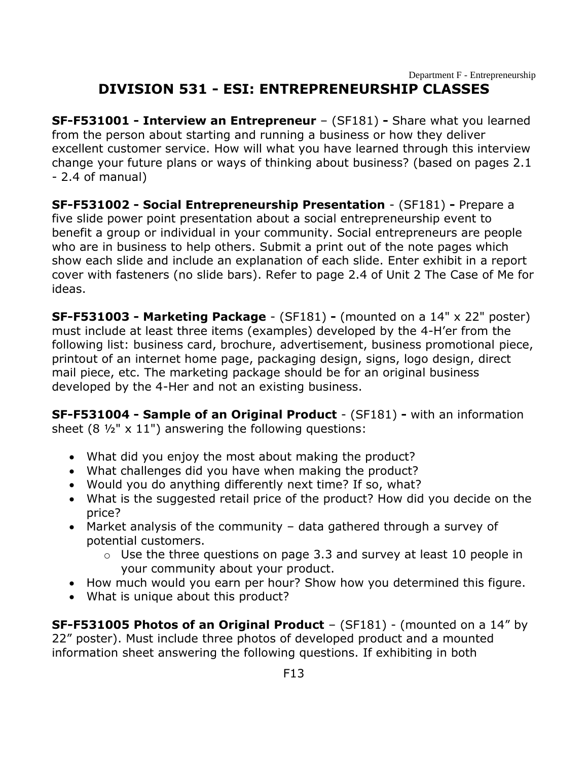#### Department F - Entrepreneurship **DIVISION 531 - ESI: ENTREPRENEURSHIP CLASSES**

<span id="page-13-0"></span>**SF-F531001 - Interview an Entrepreneur** – (SF181) **-** Share what you learned from the person about starting and running a business or how they deliver excellent customer service. How will what you have learned through this interview change your future plans or ways of thinking about business? (based on pages 2.1 - 2.4 of manual)

**SF-F531002 - Social Entrepreneurship Presentation** - (SF181) **-** Prepare a five slide power point presentation about a social entrepreneurship event to benefit a group or individual in your community. Social entrepreneurs are people who are in business to help others. Submit a print out of the note pages which show each slide and include an explanation of each slide. Enter exhibit in a report cover with fasteners (no slide bars). Refer to page 2.4 of Unit 2 The Case of Me for ideas.

**SF-F531003 - Marketing Package** - (SF181) **-** (mounted on a 14" x 22" poster) must include at least three items (examples) developed by the 4-H'er from the following list: business card, brochure, advertisement, business promotional piece, printout of an internet home page, packaging design, signs, logo design, direct mail piece, etc. The marketing package should be for an original business developed by the 4-Her and not an existing business.

**SF-F531004 - Sample of an Original Product** - (SF181) **-** with an information sheet  $(8 \frac{1}{2} x 11'')$  answering the following questions:

- What did you enjoy the most about making the product?
- What challenges did you have when making the product?
- Would you do anything differently next time? If so, what?
- What is the suggested retail price of the product? How did you decide on the price?
- Market analysis of the community data gathered through a survey of potential customers.
	- $\circ$  Use the three questions on page 3.3 and survey at least 10 people in your community about your product.
- How much would you earn per hour? Show how you determined this figure.
- What is unique about this product?

**SF-F531005 Photos of an Original Product** – (SF181) - (mounted on a 14" by 22" poster). Must include three photos of developed product and a mounted information sheet answering the following questions. If exhibiting in both